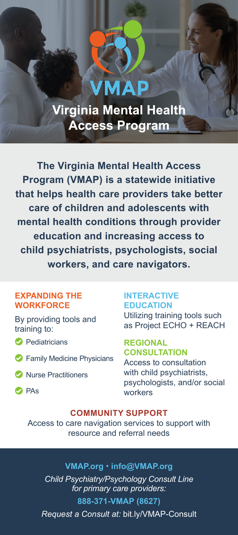# VMAP

**Virginia Mental Health Access Program** 

**The Virginia Mental Health Access Program (VMAP) is a statewide initiative that helps health care providers take better care of children and adolescents with mental health conditions through provider education and increasing access to child psychiatrists, psychologists, social workers, and care navigators.**

#### **EXPANDING THE WORKFORCE**

By providing tools and training to:

- **Pediatricians**
- **S** Family Medicine Physicians
- **O** Nurse Practitioners

## **INTERACTIVE EDUCATION**

Utilizing training tools such as Project ECHO + REACH

### **REGIONAL CONSULTATION**

Access to consultation with child psychiatrists, psychologists, and/or social workers

**PAs** 

### **COMMUNITY SUPPORT**

Access to care navigation services to support with resource and referral needs

### **VMAP.org • info@VMAP.org**

*Child Psychiatry/Psychology Consult Line for primary care providers:*  **888-371-VMAP (8627)**

*Request a Consult at:* bit.ly/VMAP-Consult